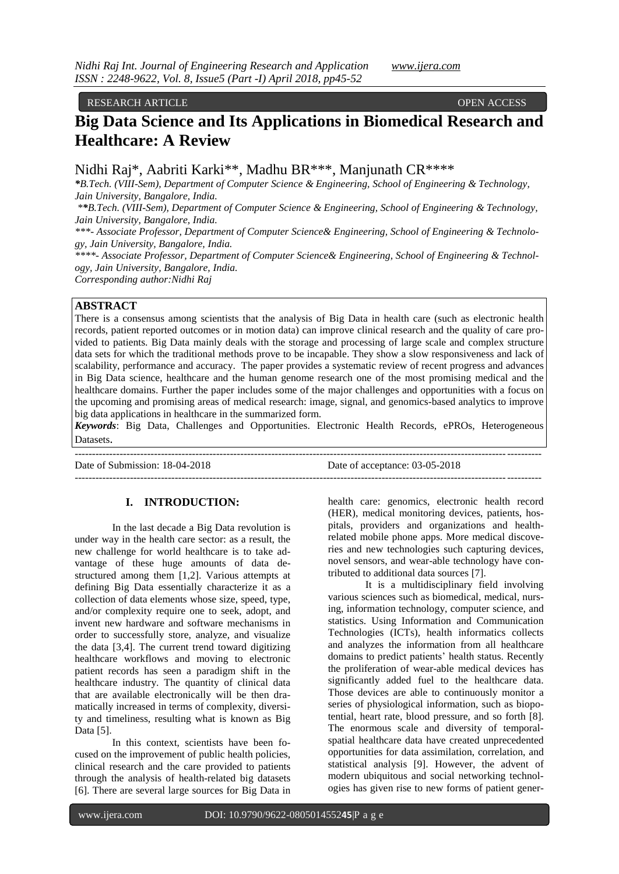#### RESEARCH ARTICLE OPEN ACCESS

# **Big Data Science and Its Applications in Biomedical Research and Healthcare: A Review**

Nidhi Raj\*, Aabriti Karki\*\*, Madhu BR\*\*\*, Manjunath CR\*\*\*\*

*\*B.Tech. (VIII-Sem), Department of Computer Science & Engineering, School of Engineering & Technology, Jain University, Bangalore, India.* 

*\*\*B.Tech. (VIII-Sem), Department of Computer Science & Engineering, School of Engineering & Technology, Jain University, Bangalore, India.*

*\*\*\*- Associate Professor, Department of Computer Science& Engineering, School of Engineering & Technology, Jain University, Bangalore, India.*

*\*\*\*\*- Associate Professor, Department of Computer Science& Engineering, School of Engineering & Technology, Jain University, Bangalore, India.*

*Corresponding author:Nidhi Raj*

## **ABSTRACT**

There is a consensus among scientists that the analysis of Big Data in health care (such as electronic health records, patient reported outcomes or in motion data) can improve clinical research and the quality of care provided to patients. Big Data mainly deals with the storage and processing of large scale and complex structure data sets for which the traditional methods prove to be incapable. They show a slow responsiveness and lack of scalability, performance and accuracy. The paper provides a systematic review of recent progress and advances in Big Data science, healthcare and the human genome research one of the most promising medical and the healthcare domains. Further the paper includes some of the major challenges and opportunities with a focus on the upcoming and promising areas of medical research: image, signal, and genomics-based analytics to improve big data applications in healthcare in the summarized form.

*Keywords*: Big Data, Challenges and Opportunities. Electronic Health Records, ePROs, Heterogeneous Datasets.

---------------------------------------------------------------------------------------------------------------------------------------

Date of Submission: 18-04-2018 Date of acceptance: 03-05-2018

## **I. INTRODUCTION:**

---------------------------------------------------------------------------------------------------------------------------------------

In the last decade a Big Data revolution is under way in the health care sector: as a result, the new challenge for world healthcare is to take advantage of these huge amounts of data destructured among them [1,2]. Various attempts at defining Big Data essentially characterize it as a collection of data elements whose size, speed, type, and/or complexity require one to seek, adopt, and invent new hardware and software mechanisms in order to successfully store, analyze, and visualize the data [3,4]. The current trend toward digitizing healthcare workflows and moving to electronic patient records has seen a paradigm shift in the healthcare industry. The quantity of clinical data that are available electronically will be then dramatically increased in terms of complexity, diversity and timeliness, resulting what is known as Big Data [5].

In this context, scientists have been focused on the improvement of public health policies, clinical research and the care provided to patients through the analysis of health-related big datasets [6]. There are several large sources for Big Data in health care: genomics, electronic health record (HER), medical monitoring devices, patients, hospitals, providers and organizations and healthrelated mobile phone apps. More medical discoveries and new technologies such capturing devices, novel sensors, and wear-able technology have contributed to additional data sources [7].

It is a multidisciplinary field involving various sciences such as biomedical, medical, nursing, information technology, computer science, and statistics. Using Information and Communication Technologies (ICTs), health informatics collects and analyzes the information from all healthcare domains to predict patients' health status. Recently the proliferation of wear-able medical devices has significantly added fuel to the healthcare data. Those devices are able to continuously monitor a series of physiological information, such as biopotential, heart rate, blood pressure, and so forth [8]. The enormous scale and diversity of temporalspatial healthcare data have created unprecedented opportunities for data assimilation, correlation, and statistical analysis [9]. However, the advent of modern ubiquitous and social networking technologies has given rise to new forms of patient gener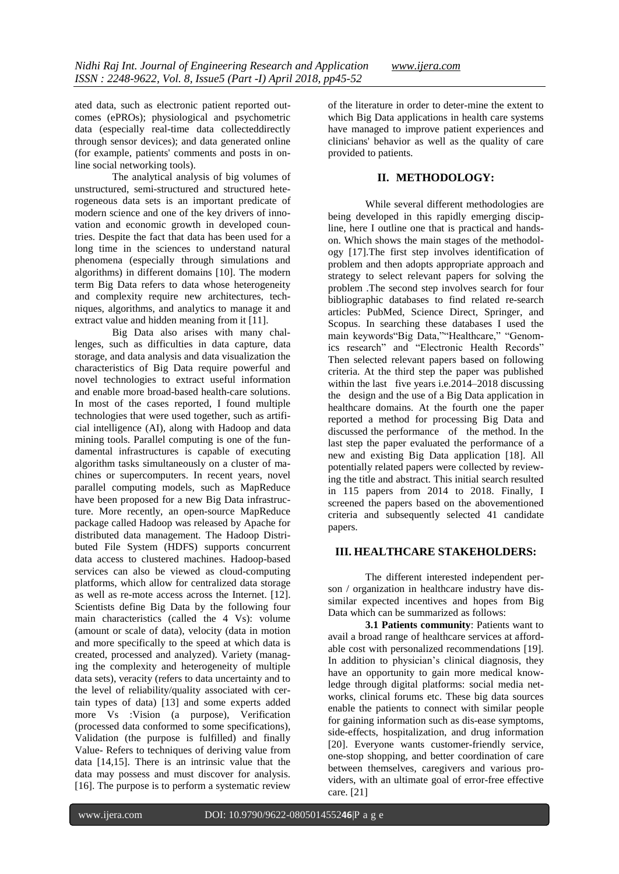ated data, such as electronic patient reported outcomes (ePROs); physiological and psychometric data (especially real-time data collecteddirectly through sensor devices); and data generated online (for example, patients' comments and posts in online social networking tools).

The analytical analysis of big volumes of unstructured, semi-structured and structured heterogeneous data sets is an important predicate of modern science and one of the key drivers of innovation and economic growth in developed countries. Despite the fact that data has been used for a long time in the sciences to understand natural phenomena (especially through simulations and algorithms) in different domains [10]. The modern term Big Data refers to data whose heterogeneity and complexity require new architectures, techniques, algorithms, and analytics to manage it and extract value and hidden meaning from it [11].

Big Data also arises with many challenges, such as difficulties in data capture, data storage, and data analysis and data visualization the characteristics of Big Data require powerful and novel technologies to extract useful information and enable more broad-based health-care solutions. In most of the cases reported, I found multiple technologies that were used together, such as artificial intelligence (AI), along with Hadoop and data mining tools. Parallel computing is one of the fundamental infrastructures is capable of executing algorithm tasks simultaneously on a cluster of machines or supercomputers. In recent years, novel parallel computing models, such as MapReduce have been proposed for a new Big Data infrastructure. More recently, an open-source MapReduce package called Hadoop was released by Apache for distributed data management. The Hadoop Distributed File System (HDFS) supports concurrent data access to clustered machines. Hadoop-based services can also be viewed as cloud-computing platforms, which allow for centralized data storage as well as re-mote access across the Internet. [12]. Scientists define Big Data by the following four main characteristics (called the 4 Vs): volume (amount or scale of data), velocity (data in motion and more specifically to the speed at which data is created, processed and analyzed). Variety (managing the complexity and heterogeneity of multiple data sets), veracity (refers to data uncertainty and to the level of reliability/quality associated with certain types of data) [13] and some experts added more Vs :Vision (a purpose), Verification (processed data conformed to some specifications), Validation (the purpose is fulfilled) and finally Value- Refers to techniques of deriving value from data [14,15]. There is an intrinsic value that the data may possess and must discover for analysis. [16]. The purpose is to perform a systematic review

of the literature in order to deter-mine the extent to which Big Data applications in health care systems have managed to improve patient experiences and clinicians' behavior as well as the quality of care provided to patients.

## **II. METHODOLOGY:**

While several different methodologies are being developed in this rapidly emerging discipline, here I outline one that is practical and handson. Which shows the main stages of the methodology [17].The first step involves identification of problem and then adopts appropriate approach and strategy to select relevant papers for solving the problem .The second step involves search for four bibliographic databases to find related re-search articles: PubMed, Science Direct, Springer, and Scopus. In searching these databases I used the main keywords"Big Data,""Healthcare," "Genomics research" and "Electronic Health Records" Then selected relevant papers based on following criteria. At the third step the paper was published within the last five years i.e.2014–2018 discussing the design and the use of a Big Data application in healthcare domains. At the fourth one the paper reported a method for processing Big Data and discussed the performance of the method. In the last step the paper evaluated the performance of a new and existing Big Data application [18]. All potentially related papers were collected by reviewing the title and abstract. This initial search resulted in 115 papers from 2014 to 2018. Finally, I screened the papers based on the abovementioned criteria and subsequently selected 41 candidate papers.

## **III. HEALTHCARE STAKEHOLDERS:**

The different interested independent person / organization in healthcare industry have dissimilar expected incentives and hopes from Big Data which can be summarized as follows:

**3.1 Patients community**: Patients want to avail a broad range of healthcare services at affordable cost with personalized recommendations [19]. In addition to physician's clinical diagnosis, they have an opportunity to gain more medical knowledge through digital platforms: social media networks, clinical forums etc. These big data sources enable the patients to connect with similar people for gaining information such as dis-ease symptoms, side-effects, hospitalization, and drug information [20]. Everyone wants customer-friendly service, one-stop shopping, and better coordination of care between themselves, caregivers and various providers, with an ultimate goal of error-free effective care. [21]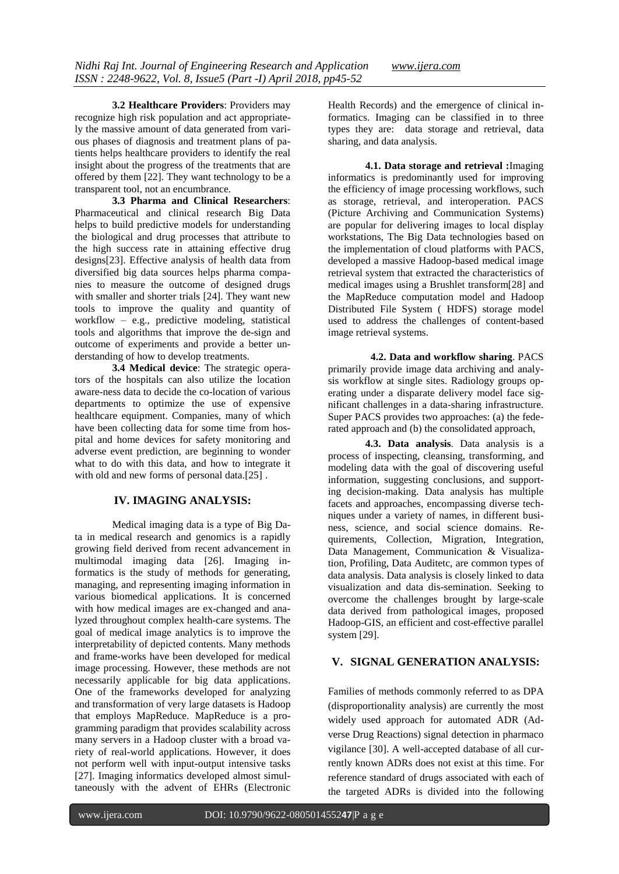**3.2 Healthcare Providers**: Providers may recognize high risk population and act appropriately the massive amount of data generated from various phases of diagnosis and treatment plans of patients helps healthcare providers to identify the real insight about the progress of the treatments that are offered by them [22]. They want technology to be a transparent tool, not an encumbrance.

**3.3 Pharma and Clinical Researchers**: Pharmaceutical and clinical research Big Data helps to build predictive models for understanding the biological and drug processes that attribute to the high success rate in attaining effective drug designs[23]. Effective analysis of health data from diversified big data sources helps pharma companies to measure the outcome of designed drugs with smaller and shorter trials [24]. They want new tools to improve the quality and quantity of workflow – e.g., predictive modeling, statistical tools and algorithms that improve the de-sign and outcome of experiments and provide a better understanding of how to develop treatments.

**3.4 Medical device**: The strategic operators of the hospitals can also utilize the location aware-ness data to decide the co-location of various departments to optimize the use of expensive healthcare equipment. Companies, many of which have been collecting data for some time from hospital and home devices for safety monitoring and adverse event prediction, are beginning to wonder what to do with this data, and how to integrate it with old and new forms of personal data.[25].

# **IV. IMAGING ANALYSIS:**

Medical imaging data is a type of Big Data in medical research and genomics is a rapidly growing field derived from recent advancement in multimodal imaging data [26]. Imaging informatics is the study of methods for generating, managing, and representing imaging information in various biomedical applications. It is concerned with how medical images are ex-changed and analyzed throughout complex health-care systems. The goal of medical image analytics is to improve the interpretability of depicted contents. Many methods and frame-works have been developed for medical image processing. However, these methods are not necessarily applicable for big data applications. One of the frameworks developed for analyzing and transformation of very large datasets is Hadoop that employs MapReduce. MapReduce is a programming paradigm that provides scalability across many servers in a Hadoop cluster with a broad variety of real-world applications. However, it does not perform well with input-output intensive tasks [27]. Imaging informatics developed almost simultaneously with the advent of EHRs (Electronic

Health Records) and the emergence of clinical informatics. Imaging can be classified in to three types they are: data storage and retrieval, data sharing, and data analysis.

**4.1. Data storage and retrieval :**Imaging informatics is predominantly used for improving the efficiency of image processing workflows, such as storage, retrieval, and interoperation. PACS (Picture Archiving and Communication Systems) are popular for delivering images to local display workstations, The Big Data technologies based on the implementation of cloud platforms with PACS, developed a massive Hadoop-based medical image retrieval system that extracted the characteristics of medical images using a Brushlet transform[28] and the MapReduce computation model and Hadoop Distributed File System ( HDFS) storage model used to address the challenges of content-based image retrieval systems.

 **4.2. Data and workflow sharing**. PACS primarily provide image data archiving and analysis workflow at single sites. Radiology groups operating under a disparate delivery model face significant challenges in a data-sharing infrastructure. Super PACS provides two approaches: (a) the federated approach and (b) the consolidated approach,

**4.3. Data analysis**. Data analysis is a process of inspecting, cleansing, transforming, and modeling data with the goal of discovering useful information, suggesting conclusions, and supporting decision-making. Data analysis has multiple facets and approaches, encompassing diverse techniques under a variety of names, in different business, science, and social science domains. Requirements, Collection, Migration, Integration, Data Management, Communication & Visualization, Profiling, Data Auditetc, are common types of data analysis. Data analysis is closely linked to data visualization and data dis-semination. Seeking to overcome the challenges brought by large-scale data derived from pathological images, proposed Hadoop-GIS, an efficient and cost-effective parallel system [29].

# **V. SIGNAL GENERATION ANALYSIS:**

Families of methods commonly referred to as DPA (disproportionality analysis) are currently the most widely used approach for automated ADR (Adverse Drug Reactions) signal detection in pharmaco vigilance [30]. A well-accepted database of all currently known ADRs does not exist at this time. For reference standard of drugs associated with each of the targeted ADRs is divided into the following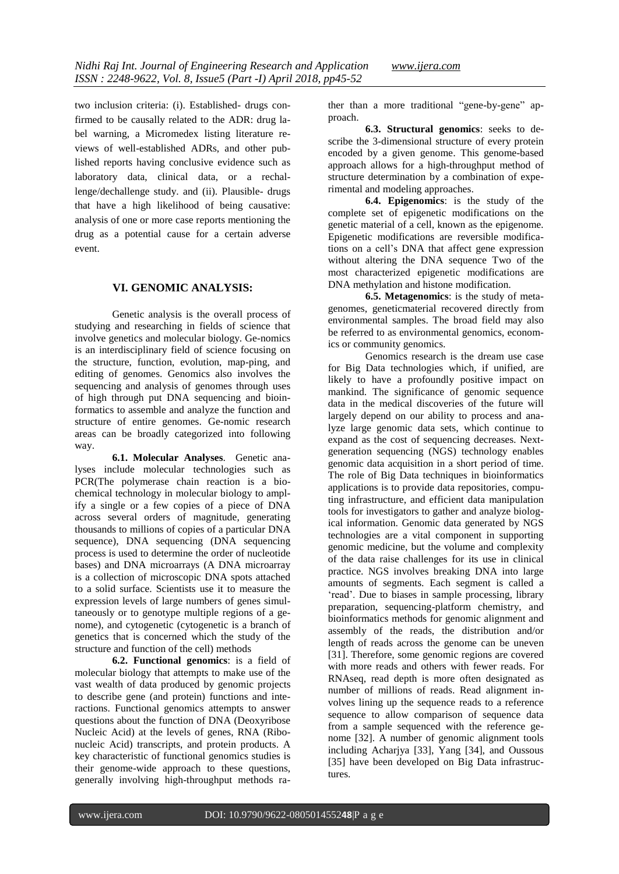two inclusion criteria: (i). Established- drugs confirmed to be causally related to the ADR: drug label warning, a Micromedex listing literature reviews of well-established ADRs, and other published reports having conclusive evidence such as laboratory data, clinical data, or a rechallenge/dechallenge study. and (ii). Plausible- drugs that have a high likelihood of being causative: analysis of one or more case reports mentioning the drug as a potential cause for a certain adverse event.

#### **VI. GENOMIC ANALYSIS:**

Genetic analysis is the overall process of studying and researching in fields of science that involve genetics and molecular biology. Ge-nomics is an interdisciplinary field of science focusing on the structure, function, evolution, map-ping, and editing of genomes. Genomics also involves the sequencing and analysis of genomes through uses of high through put DNA sequencing and bioinformatics to assemble and analyze the function and structure of entire genomes. Ge-nomic research areas can be broadly categorized into following way.

**6.1. Molecular Analyses**. Genetic analyses include molecular technologies such as PCR(The polymerase chain reaction is a biochemical technology in molecular biology to amplify a single or a few copies of a piece of DNA across several orders of magnitude, generating thousands to millions of copies of a particular DNA sequence), DNA sequencing (DNA sequencing process is used to determine the order of nucleotide bases) and DNA microarrays (A DNA microarray is a collection of microscopic DNA spots attached to a solid surface. Scientists use it to measure the expression levels of large numbers of genes simultaneously or to genotype multiple regions of a genome), and cytogenetic (cytogenetic is a branch of genetics that is concerned which the study of the structure and function of the cell) methods

**6.2. Functional genomics**: is a field of molecular biology that attempts to make use of the vast wealth of data produced by genomic projects to describe gene (and protein) functions and interactions. Functional genomics attempts to answer questions about the function of DNA (Deoxyribose Nucleic Acid) at the levels of genes, RNA (Ribonucleic Acid) transcripts, and protein products. A key characteristic of functional genomics studies is their genome-wide approach to these questions, generally involving high-throughput methods rather than a more traditional "gene-by-gene" approach.

**6.3. Structural genomics**: seeks to describe the 3-dimensional structure of every protein encoded by a given genome. This genome-based approach allows for a high-throughput method of structure determination by a combination of experimental and modeling approaches.

**6.4. Epigenomics**: is the study of the complete set of epigenetic modifications on the genetic material of a cell, known as the epigenome. Epigenetic modifications are reversible modifications on a cell"s DNA that affect gene expression without altering the DNA sequence Two of the most characterized epigenetic modifications are DNA methylation and histone modification.

**6.5. Metagenomics**: is the study of metagenomes, geneticmaterial recovered directly from environmental samples. The broad field may also be referred to as environmental genomics, economics or community genomics.

Genomics research is the dream use case for Big Data technologies which, if unified, are likely to have a profoundly positive impact on mankind. The significance of genomic sequence data in the medical discoveries of the future will largely depend on our ability to process and analyze large genomic data sets, which continue to expand as the cost of sequencing decreases. Nextgeneration sequencing (NGS) technology enables genomic data acquisition in a short period of time. The role of Big Data techniques in bioinformatics applications is to provide data repositories, computing infrastructure, and efficient data manipulation tools for investigators to gather and analyze biological information. Genomic data generated by NGS technologies are a vital component in supporting genomic medicine, but the volume and complexity of the data raise challenges for its use in clinical practice. NGS involves breaking DNA into large amounts of segments. Each segment is called a 'read'. Due to biases in sample processing, library preparation, sequencing-platform chemistry, and bioinformatics methods for genomic alignment and assembly of the reads, the distribution and/or length of reads across the genome can be uneven [31]. Therefore, some genomic regions are covered with more reads and others with fewer reads. For RNAseq, read depth is more often designated as number of millions of reads. Read alignment involves lining up the sequence reads to a reference sequence to allow comparison of sequence data from a sample sequenced with the reference genome [32]. A number of genomic alignment tools including Acharjya [33], Yang [34], and Oussous [35] have been developed on Big Data infrastructures.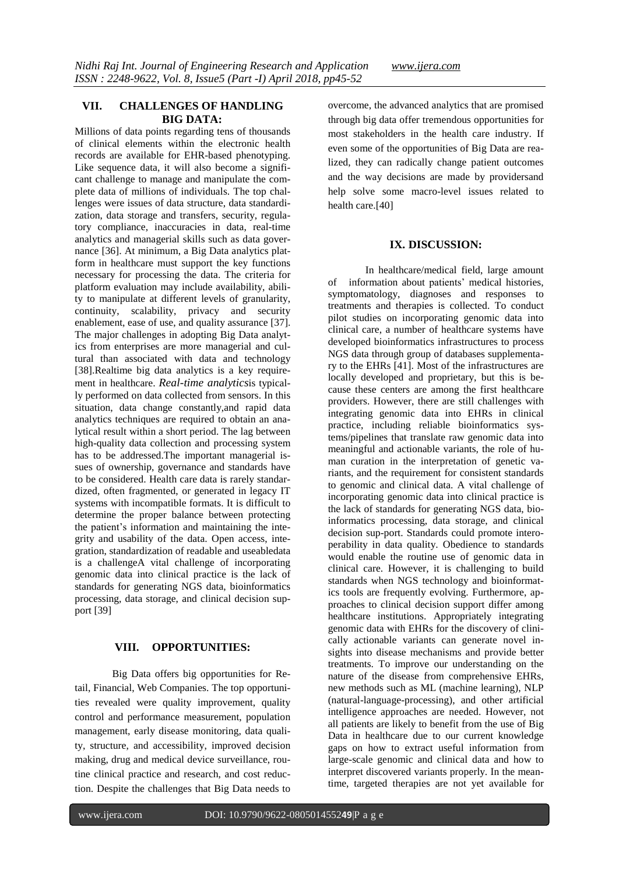## **VII. CHALLENGES OF HANDLING BIG DATA:**

Millions of data points regarding tens of thousands of clinical elements within the electronic health records are available for EHR-based phenotyping. Like sequence data, it will also become a significant challenge to manage and manipulate the complete data of millions of individuals. The top challenges were issues of data structure, data standardization, data storage and transfers, security, regulatory compliance, inaccuracies in data, real-time analytics and managerial skills such as data governance [36]. At minimum, a Big Data analytics platform in healthcare must support the key functions necessary for processing the data. The criteria for platform evaluation may include availability, ability to manipulate at different levels of granularity, continuity, scalability, privacy and security enablement, ease of use, and quality assurance [37]. The major challenges in adopting Big Data analytics from enterprises are more managerial and cultural than associated with data and technology [38].Realtime big data analytics is a key requirement in healthcare. *Real-time analytics*is typically performed on data collected from sensors. In this situation, data change constantly,and rapid data analytics techniques are required to obtain an analytical result within a short period. The lag between high-quality data collection and processing system has to be addressed.The important managerial issues of ownership, governance and standards have to be considered. Health care data is rarely standardized, often fragmented, or generated in legacy IT systems with incompatible formats. It is difficult to determine the proper balance between protecting the patient's information and maintaining the integrity and usability of the data. Open access, integration, standardization of readable and useabledata is a challengeA vital challenge of incorporating genomic data into clinical practice is the lack of standards for generating NGS data, bioinformatics processing, data storage, and clinical decision support [39]

## **VIII. OPPORTUNITIES:**

Big Data offers big opportunities for Retail, Financial, Web Companies. The top opportunities revealed were quality improvement, quality control and performance measurement, population management, early disease monitoring, data quality, structure, and accessibility, improved decision making, drug and medical device surveillance, routine clinical practice and research, and cost reduction. Despite the challenges that Big Data needs to overcome, the advanced analytics that are promised through big data offer tremendous opportunities for most stakeholders in the health care industry. If even some of the opportunities of Big Data are realized, they can radically change patient outcomes and the way decisions are made by providersand help solve some macro-level issues related to health care.[40]

## **IX. DISCUSSION:**

In healthcare/medical field, large amount of information about patients" medical histories, symptomatology, diagnoses and responses to treatments and therapies is collected. To conduct pilot studies on incorporating genomic data into clinical care, a number of healthcare systems have developed bioinformatics infrastructures to process NGS data through group of databases supplementary to the EHRs [41]. Most of the infrastructures are locally developed and proprietary, but this is because these centers are among the first healthcare providers. However, there are still challenges with integrating genomic data into EHRs in clinical practice, including reliable bioinformatics systems/pipelines that translate raw genomic data into meaningful and actionable variants, the role of human curation in the interpretation of genetic variants, and the requirement for consistent standards to genomic and clinical data. A vital challenge of incorporating genomic data into clinical practice is the lack of standards for generating NGS data, bioinformatics processing, data storage, and clinical decision sup-port. Standards could promote interoperability in data quality. Obedience to standards would enable the routine use of genomic data in clinical care. However, it is challenging to build standards when NGS technology and bioinformatics tools are frequently evolving. Furthermore, approaches to clinical decision support differ among healthcare institutions. Appropriately integrating genomic data with EHRs for the discovery of clinically actionable variants can generate novel insights into disease mechanisms and provide better treatments. To improve our understanding on the nature of the disease from comprehensive EHRs, new methods such as ML (machine learning), NLP (natural-language-processing), and other artificial intelligence approaches are needed. However, not all patients are likely to benefit from the use of Big Data in healthcare due to our current knowledge gaps on how to extract useful information from large-scale genomic and clinical data and how to interpret discovered variants properly. In the meantime, targeted therapies are not yet available for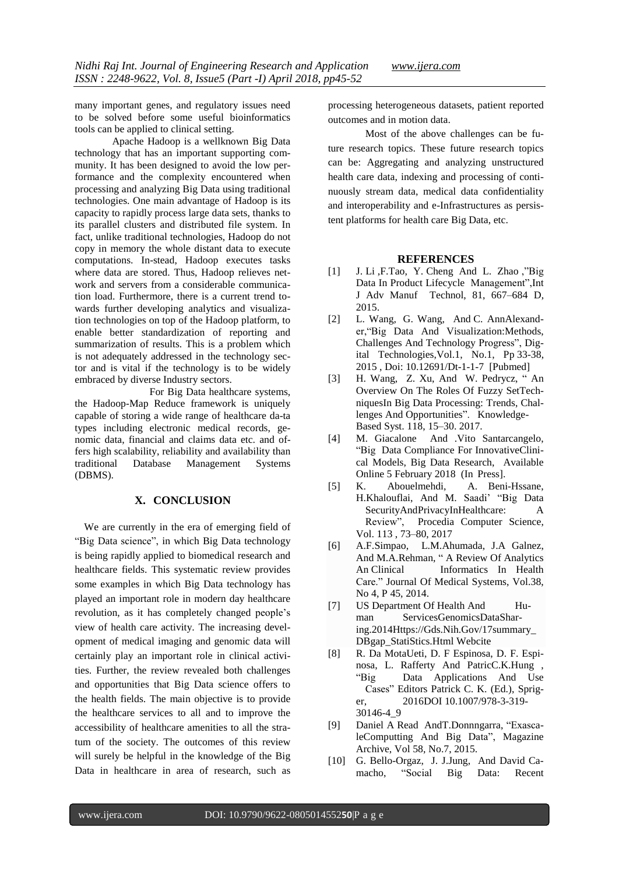many important genes, and regulatory issues need to be solved before some useful bioinformatics tools can be applied to clinical setting.

Apache Hadoop is a wellknown Big Data technology that has an important supporting community. It has been designed to avoid the low performance and the complexity encountered when processing and analyzing Big Data using traditional technologies. One main advantage of Hadoop is its capacity to rapidly process large data sets, thanks to its parallel clusters and distributed file system. In fact, unlike traditional technologies, Hadoop do not copy in memory the whole distant data to execute computations. In-stead, Hadoop executes tasks where data are stored. Thus, Hadoop relieves network and servers from a considerable communication load. Furthermore, there is a current trend towards further developing analytics and visualization technologies on top of the Hadoop platform, to enable better standardization of reporting and summarization of results. This is a problem which is not adequately addressed in the technology sector and is vital if the technology is to be widely embraced by diverse Industry sectors.

For Big Data healthcare systems, the Hadoop-Map Reduce framework is uniquely capable of storing a wide range of healthcare da-ta types including electronic medical records, genomic data, financial and claims data etc. and offers high scalability, reliability and availability than traditional Database Management Systems (DBMS).

# **X. CONCLUSION**

We are currently in the era of emerging field of "Big Data science", in which Big Data technology is being rapidly applied to biomedical research and healthcare fields. This systematic review provides some examples in which Big Data technology has played an important role in modern day healthcare revolution, as it has completely changed people"s view of health care activity. The increasing development of medical imaging and genomic data will certainly play an important role in clinical activities. Further, the review revealed both challenges and opportunities that Big Data science offers to the health fields. The main objective is to provide the healthcare services to all and to improve the accessibility of healthcare amenities to all the stratum of the society. The outcomes of this review will surely be helpful in the knowledge of the Big Data in healthcare in area of research, such as

processing heterogeneous datasets, patient reported outcomes and in motion data.

Most of the above challenges can be future research topics. These future research topics can be: Aggregating and analyzing unstructured health care data, indexing and processing of continuously stream data, medical data confidentiality and interoperability and e-Infrastructures as persistent platforms for health care Big Data, etc.

## **REFERENCES**

- [1] J. Li ,F.Tao, Y. Cheng And L. Zhao ,"Big Data In Product Lifecycle Management",Int J Adv Manuf Technol, 81, 667–684 D, 2015.
- [2] L. Wang, G. Wang, And C. AnnAlexander,"Big Data And Visualization:Methods, Challenges And Technology Progress", [Dig](http://www.sciepub.com/journal/DT)ital [Technologies](http://www.sciepub.com/journal/DT)[,Vol.1,](http://www.sciepub.com/DT/content/1/1) No.1, Pp 33-38, 2015 , Doi: 10.12691/Dt-1-1-7 [Pubmed]
- [3] H. Wang, Z. Xu, And W. Pedrycz, " An Overview On The Roles Of Fuzzy SetTechniquesIn Big Data Processing: Trends, Challenges And Opportunities". Knowledge-Based Syst. 118, 15–30. 2017.
- [4] M. [Giacalone](https://www.sciencedirect.com/science/article/pii/S2214579618300327%252523!) And .Vito [Santarcangelo,](https://www.sciencedirect.com/science/article/pii/S2214579618300327%252523!) "Big Data Compliance For InnovativeClinical Models, Big Data Research, Available Online 5 February 2018 (In Press].
- [5] K. Abouelmehdi, A. Beni-Hssane, H.Khalouflai, And M. Saadi" "Big Data SecurityAndPrivacyInHealthcare: A Review", Procedia Computer Science, Vol. 113 , 73–80, 2017
- [6] A.F.Simpao, L.M.Ahumada, J.A Galnez, And M.A.Rehman, " A Review Of Analytics An Clinical Informatics In Health Care." Journal Of Medical Systems, Vol.38, No 4, P 45, 2014.
- [7] US Department Of Health And Human ServicesGenomicsDataSharing.201[4Https://Gds.Nih.Gov/17summary\\_](https://gds.nih.gov/17summary_DBgap_StatiStics.Html) [DBgap\\_StatiStics.Html](https://gds.nih.gov/17summary_DBgap_StatiStics.Html) [Webcite](https://www.webcitation.org/6m62Idais)
- [8] R. Da [MotaUeti,](https://www.researchgate.net/scientific-contributions/2109530785_Roberto_da_Mota_Ueti) D. F [Espinosa,](https://www.researchgate.net/scientific-contributions/2109522806_Daniela_Fernandez_Espinosa) D. F. [Espi](https://www.researchgate.net/scientific-contributions/2109522806_Daniela_Fernandez_Espinosa)[nosa,](https://www.researchgate.net/scientific-contributions/2109522806_Daniela_Fernandez_Espinosa) L. [Rafferty](https://www.researchgate.net/profile/Laura_Rafferty4) And PatricC.K.Hung , "Big Data Applications And Use Cases" Editors Patrick C. K. (Ed.), Spriger, 2016DOI 10.1007/978-3-319- 30146-4\_9
- [9] Daniel A Read AndT.Donnngarra, "ExascaleComputting And Big Data", Magazine Archive, Vol 58, No.7, 2015.
- [10] G. [Bello-Orgaz,](https://www.sciencedirect.com/science/article/pii/S1566253515000780%252523!) J. [J.Jung,](https://www.sciencedirect.com/science/article/pii/S1566253515000780%252523!) And [David](https://www.sciencedirect.com/science/article/pii/S1566253515000780%252523!) Ca[macho,](https://www.sciencedirect.com/science/article/pii/S1566253515000780%252523!) "Social Big Data: Recent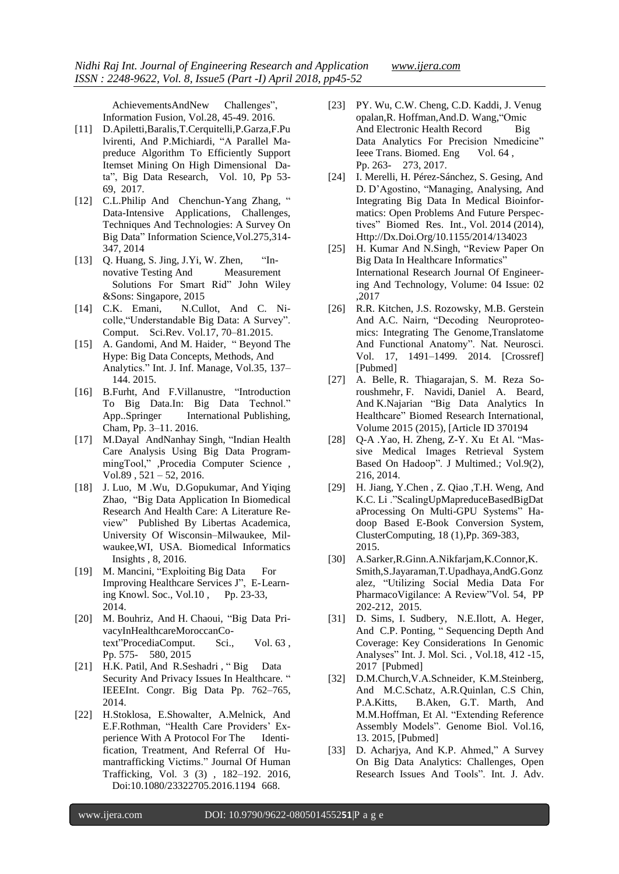AchievementsAndNew Challenges", Information Fusion, Vol.28, 45-49. 2016.

- [11] [D.Apiletti,Baralis,T](https://www.sciencedirect.com/science/article/pii/S2214579616301046%252523!).Cerquitelli[,P.Garza,F.Pu](https://www.sciencedirect.com/science/article/pii/S2214579616301046%252523!) [lvirenti,](https://www.sciencedirect.com/science/article/pii/S2214579616301046%252523!) And [P.Michiardi,](https://www.sciencedirect.com/science/article/pii/S2214579616301046%252523!) "A Parallel Mapreduce Algorithm To Efficiently Support Itemset Mining On High Dimensional Data", Big Data Research, [Vol.](https://www.sciencedirect.com/science/journal/22145796/10/supp/C) 10, Pp 53- 69, 2017.
- [12] C.L.Philip [And Chenchun-Yang](https://www.sciencedirect.com/science/article/pii/S0020025514000346%252523!) Zhang, " Data-Intensive Applications, Challenges, Techniques And Technologies: A Survey On Big Data" Information Science,Vol.275,314- 347, 2014
- [13] Q. Huang, S. Jing, J.Yi, W. Zhen, "Innovative Testing And Measurement Solutions For Smart Rid" John Wiley &Sons: Singapore, 2015
- [14] C.K. Emani, N.Cullot, And C. Nicolle,"Understandable Big Data: A Survey". Comput. Sci.Rev. Vol.17, 70–81.2015.
- [15] A. Gandomi, And M. Haider, " Beyond The Hype: Big Data Concepts, Methods, And Analytics." Int. J. Inf. Manage, Vol.35, 137– 144. 2015.
- [16] B.Furht, And F.Villanustre, "Introduction To Big Data.In: Big Data Technol." App..Springer International Publishing, Cham, Pp. 3–11. 2016.
- [17] M.Dayal AndNanhay Singh, "Indian Health Care Analysis Using Big Data ProgrammingTool," ,Procedia Computer Science , Vol.89 , 521 – 52, 2016.
- [18] J. Luo, M .Wu, D.Gopukumar, And Yiqing Zhao, "Big Data Application In Biomedical Research And Health Care: A Literature Review" Published By Libertas Academica, University Of Wisconsin–Milwaukee, Milwaukee,WI, USA. Biomedical Informatics Insights , 8, 2016.
- [19] M. Mancini, "Exploiting Big Data For Improving Healthcare Services J", E-Learning Knowl. Soc., Vol.10 , Pp. 23-33, 2014.
- [20] M. Bouhriz, And H. Chaoui, "Big Data PrivacyInHealthcareMoroccanCotext"ProcediaComput. Sci., Vol. 63 , Pp. 575- 580, 2015
- [21] H.K. Patil, And R.Seshadri, "Big Data Security And Privacy Issues In Healthcare. " IEEEInt. Congr. Big Data Pp. 762–765, 2014.
- [22] H.Stoklosa, E.Showalter, A.Melnick, And E.F.Rothman, "Health Care Providers' Experience With A Protocol For The Identification, Treatment, And Referral Of Humantrafficking Victims." Journal Of Human Trafficking, Vol. 3 (3) , 182–192. 2016, Doi:10.1080/23322705.2016.1194 668.
- [23] PY. Wu, C.W. Cheng, C.D. Kaddi, J. Venug opalan,R. Hoffman,And.D. Wang,"Omic And Electronic Health Record Big Data Analytics For Precision Nmedicine" Ieee Trans. Biomed. Eng Vol. 64, Pp. 263- 273, 2017.
- [24] I. Merelli, H. Pérez-Sánchez, S. Gesing, And D. D"Agostino, "Managing, Analysing, And Integrating Big Data In Medical Bioinformatics: Open Problems And Future Perspectives" Biomed Res. Int., Vol. 2014 (2014), [Http://Dx.Doi.Org/10.1155/2014/134023](http://dx.doi.org/10.1155/2014/134023)
- [25] H. Kumar And N.Singh, "Review Paper On Big Data In Healthcare Informatics" International Research Journal Of Engineering And Technology, Volume: 04 Issue: 02 ,2017
- [26] R.R. Kitchen, J.S. Rozowsky, M.B. Gerstein And A.C. Nairn, "Decoding Neuroproteomics: Integrating The Genome,Translatome And Functional Anatomy". Nat. Neurosci. Vol. 17, 1491–1499. 2014. [Crossref] [Pubmed]
- [27] A. [Belle,](https://www.hindawi.com/19320381/) R. [Thiagarajan,](https://www.hindawi.com/58720181/) S. M. [Reza](https://www.hindawi.com/78018279/) So[roushmehr,](https://www.hindawi.com/78018279/) F. [Navidi,](https://www.hindawi.com/69847142/) [Daniel](https://www.hindawi.com/56369035/) A. Beard, And [K.Najarian](https://www.hindawi.com/87613053/) "Big Data Analytics In Healthcare" Biomed Research International, Volume 2015 (2015), [Article ID 370194
- [28] O-A .Yao, H. Zheng, Z-Y. Xu Et Al. "Massive Medical Images Retrieval System Based On Hadoop". J Multimed.; Vol.9(2), 216, 2014.
- [29] H. Jiang, Y.Chen , Z. Qiao ,T.H. Weng, And K.C. Li ."ScalingUpMapreduceBasedBigDat aProcessing On Multi-GPU Systems" Hadoop Based E-Book Conversion System, ClusterComputing, 18 (1),Pp. 369-383, 2015.
- [30] A[.Sarker,R.Ginn.A.Nikfarjam,K](https://www.sciencedirect.com/science/article/pii/S1532046415000362%252523!).Connor[,K.](https://www.sciencedirect.com/science/article/pii/S1532046415000362%252523!) Smith[,S](https://www.sciencedirect.com/science/article/pii/S1532046415000362%252523!).Jayaraman[,T.Upadhaya,A](https://www.sciencedirect.com/science/article/pii/S1532046415000362%252523!)n[dG.Gonz](https://www.sciencedirect.com/science/article/pii/S1532046415000362%252523!) [alez,](https://www.sciencedirect.com/science/article/pii/S1532046415000362%252523!) "Utilizing Social Media Data For PharmacoVigilance: A Review["Vol.](https://www.sciencedirect.com/science/journal/15320464/54/supp/C) 54, PP 202-212, 2015.
- [31] D. Sims, I. Sudbery, N.E.Ilott, A. Heger, And C.P. Ponting, " Sequencing Depth And Coverage: Key Considerations In Genomic Analyses" Int. J. Mol. Sci. , Vol.18, 412 -15, 2017 [Pubmed]
- [32] D.M.Church, V.A.Schneider, K.M.Steinberg, And M.C.Schatz, A.R.Quinlan, C.S Chin, P.A.Kitts, B.Aken, G.T. Marth, And M.M.Hoffman, Et Al. "Extending Reference Assembly Models". Genome Biol. Vol.16, 13. 2015, [Pubmed]
- [33] D. Acharjya, And K.P. Ahmed," A Survey On Big Data Analytics: Challenges, Open Research Issues And Tools". Int. J. Adv.